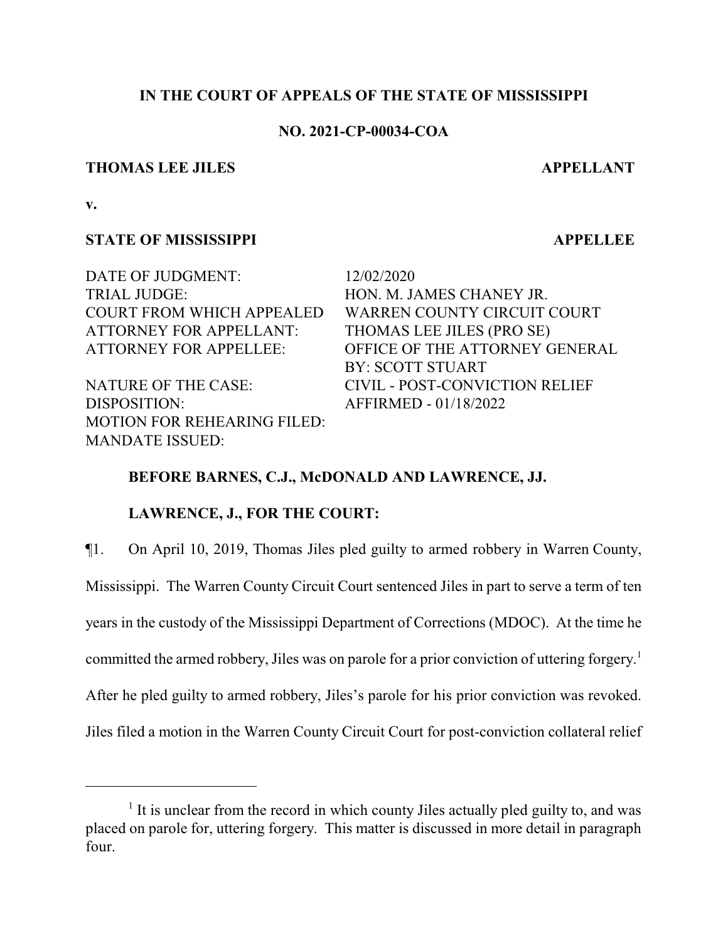## **IN THE COURT OF APPEALS OF THE STATE OF MISSISSIPPI**

### **NO. 2021-CP-00034-COA**

#### **THOMAS LEE JILES APPELLANT**

**v.**

## **STATE OF MISSISSIPPI APPELLEE**

DATE OF JUDGMENT: 12/02/2020 TRIAL JUDGE: HON. M. JAMES CHANEY JR. ATTORNEY FOR APPELLANT: THOMAS LEE JILES (PRO SE)

DISPOSITION: AFFIRMED - 01/18/2022 MOTION FOR REHEARING FILED: MANDATE ISSUED:

COURT FROM WHICH APPEALED WARREN COUNTY CIRCUIT COURT ATTORNEY FOR APPELLEE: OFFICE OF THE ATTORNEY GENERAL BY: SCOTT STUART NATURE OF THE CASE: CIVIL - POST-CONVICTION RELIEF

## **BEFORE BARNES, C.J., McDONALD AND LAWRENCE, JJ.**

## **LAWRENCE, J., FOR THE COURT:**

¶1. On April 10, 2019, Thomas Jiles pled guilty to armed robbery in Warren County,

Mississippi. The Warren County Circuit Court sentenced Jiles in part to serve a term of ten

years in the custody of the Mississippi Department of Corrections (MDOC). At the time he

committed the armed robbery, Jiles was on parole for a prior conviction of uttering forgery.<sup>1</sup>

After he pled guilty to armed robbery, Jiles's parole for his prior conviction was revoked.

Jiles filed a motion in the Warren County Circuit Court for post-conviction collateral relief

<sup>&</sup>lt;sup>1</sup> It is unclear from the record in which county Jiles actually pled guilty to, and was placed on parole for, uttering forgery. This matter is discussed in more detail in paragraph four.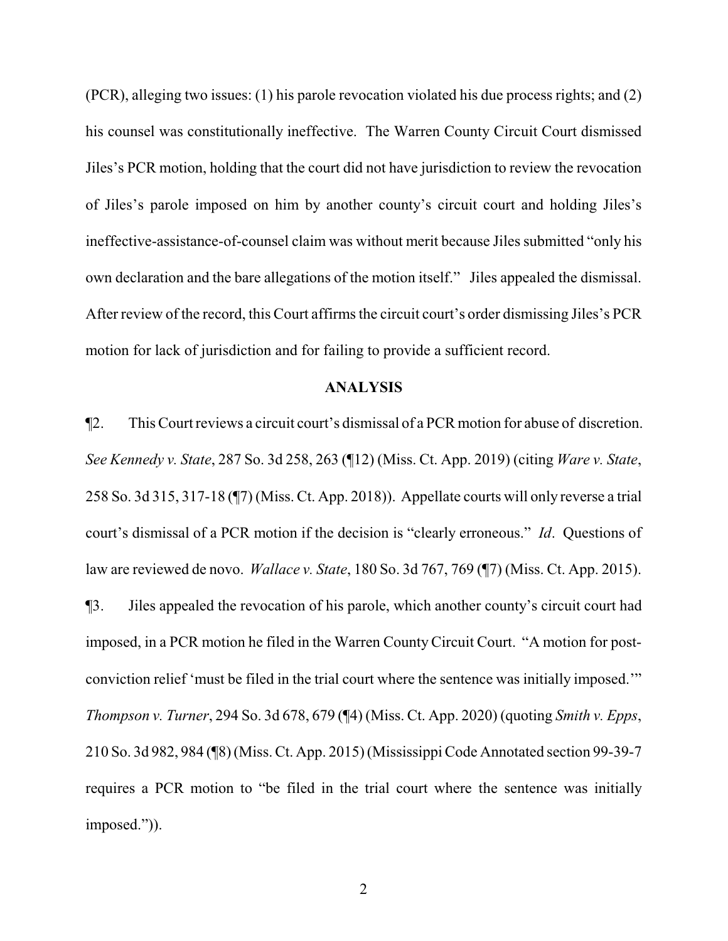(PCR), alleging two issues: (1) his parole revocation violated his due process rights; and (2) his counsel was constitutionally ineffective. The Warren County Circuit Court dismissed Jiles's PCR motion, holding that the court did not have jurisdiction to review the revocation of Jiles's parole imposed on him by another county's circuit court and holding Jiles's ineffective-assistance-of-counsel claim was without merit because Jiles submitted "only his own declaration and the bare allegations of the motion itself." Jiles appealed the dismissal. After review of the record, this Court affirms the circuit court's order dismissing Jiles's PCR motion for lack of jurisdiction and for failing to provide a sufficient record.

#### **ANALYSIS**

¶2. This Court reviews a circuit court's dismissal of a PCR motion for abuse of discretion. *See Kennedy v. State*, 287 So. 3d 258, 263 (¶12) (Miss. Ct. App. 2019) (citing *Ware v. State*, 258 So. 3d 315, 317-18 (¶7) (Miss. Ct. App. 2018)). Appellate courts will only reverse a trial court's dismissal of a PCR motion if the decision is "clearly erroneous." *Id*. Questions of law are reviewed de novo. *Wallace v. State*, 180 So. 3d 767, 769 (¶7) (Miss. Ct. App. 2015). ¶3. Jiles appealed the revocation of his parole, which another county's circuit court had imposed, in a PCR motion he filed in the Warren CountyCircuit Court. "A motion for postconviction relief 'must be filed in the trial court where the sentence was initially imposed.'" *Thompson v. Turner*, 294 So. 3d 678, 679 (¶4) (Miss. Ct. App. 2020) (quoting *Smith v. Epps*, 210 So. 3d 982, 984 (¶8) (Miss. Ct. App. 2015) (Mississippi Code Annotated section 99-39-7 requires a PCR motion to "be filed in the trial court where the sentence was initially imposed.")).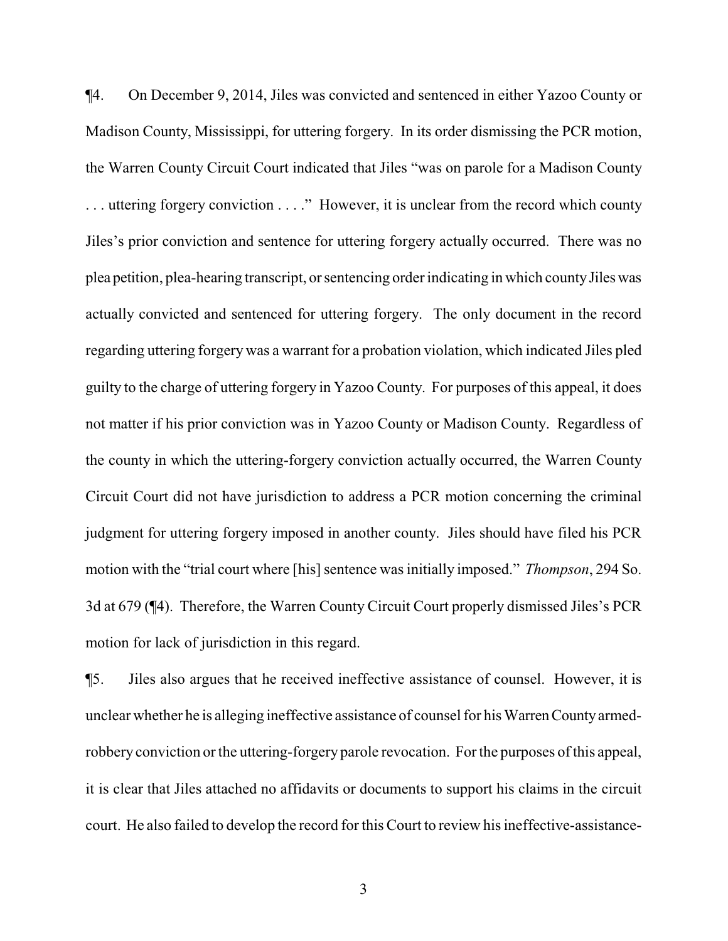¶4. On December 9, 2014, Jiles was convicted and sentenced in either Yazoo County or Madison County, Mississippi, for uttering forgery. In its order dismissing the PCR motion, the Warren County Circuit Court indicated that Jiles "was on parole for a Madison County . . . uttering forgery conviction . . . ." However, it is unclear from the record which county Jiles's prior conviction and sentence for uttering forgery actually occurred. There was no plea petition, plea-hearing transcript, or sentencing order indicating in which countyJileswas actually convicted and sentenced for uttering forgery. The only document in the record regarding uttering forgery was a warrant for a probation violation, which indicated Jiles pled guilty to the charge of uttering forgery in Yazoo County. For purposes of this appeal, it does not matter if his prior conviction was in Yazoo County or Madison County. Regardless of the county in which the uttering-forgery conviction actually occurred, the Warren County Circuit Court did not have jurisdiction to address a PCR motion concerning the criminal judgment for uttering forgery imposed in another county. Jiles should have filed his PCR motion with the "trial court where [his] sentence was initially imposed." *Thompson*, 294 So. 3d at 679 (¶4). Therefore, the Warren County Circuit Court properly dismissed Jiles's PCR motion for lack of jurisdiction in this regard.

¶5. Jiles also argues that he received ineffective assistance of counsel. However, it is unclear whether he is alleging ineffective assistance of counsel for his WarrenCountyarmedrobbery conviction or the uttering-forgery parole revocation. For the purposes of this appeal, it is clear that Jiles attached no affidavits or documents to support his claims in the circuit court. He also failed to develop the record for this Court to review his ineffective-assistance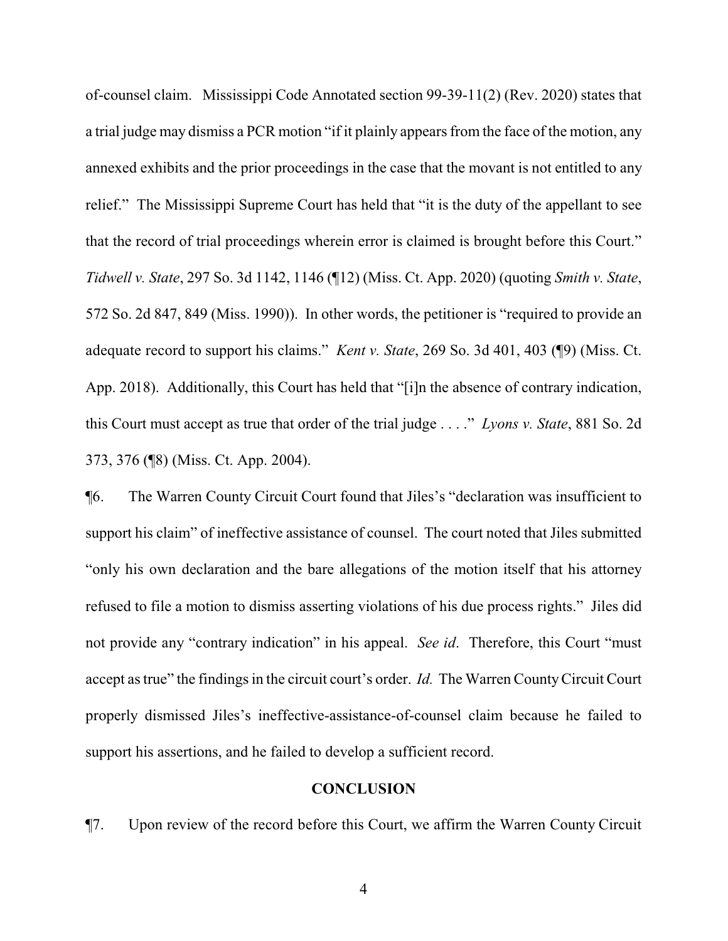of-counsel claim. Mississippi Code Annotated section 99-39-11(2) (Rev. 2020) states that a trial judge may dismiss a PCR motion "if it plainly appears from the face of the motion, any annexed exhibits and the prior proceedings in the case that the movant is not entitled to any relief." The Mississippi Supreme Court has held that "it is the duty of the appellant to see that the record of trial proceedings wherein error is claimed is brought before this Court." *Tidwell v. State*, 297 So. 3d 1142, 1146 (¶12) (Miss. Ct. App. 2020) (quoting *Smith v. State*, 572 So. 2d 847, 849 (Miss. 1990)). In other words, the petitioner is "required to provide an adequate record to support his claims." *Kent v. State*, 269 So. 3d 401, 403 (¶9) (Miss. Ct. App. 2018). Additionally, this Court has held that "[i]n the absence of contrary indication, this Court must accept as true that order of the trial judge . . . ." *Lyons v. State*, 881 So. 2d 373, 376 (¶8) (Miss. Ct. App. 2004).

¶6. The Warren County Circuit Court found that Jiles's "declaration was insufficient to support his claim" of ineffective assistance of counsel. The court noted that Jiles submitted "only his own declaration and the bare allegations of the motion itself that his attorney refused to file a motion to dismiss asserting violations of his due process rights." Jiles did not provide any "contrary indication" in his appeal. *See id*. Therefore, this Court "must accept as true" the findings in the circuit court's order. *Id.* The Warren CountyCircuit Court properly dismissed Jiles's ineffective-assistance-of-counsel claim because he failed to support his assertions, and he failed to develop a sufficient record.

#### **CONCLUSION**

¶7. Upon review of the record before this Court, we affirm the Warren County Circuit